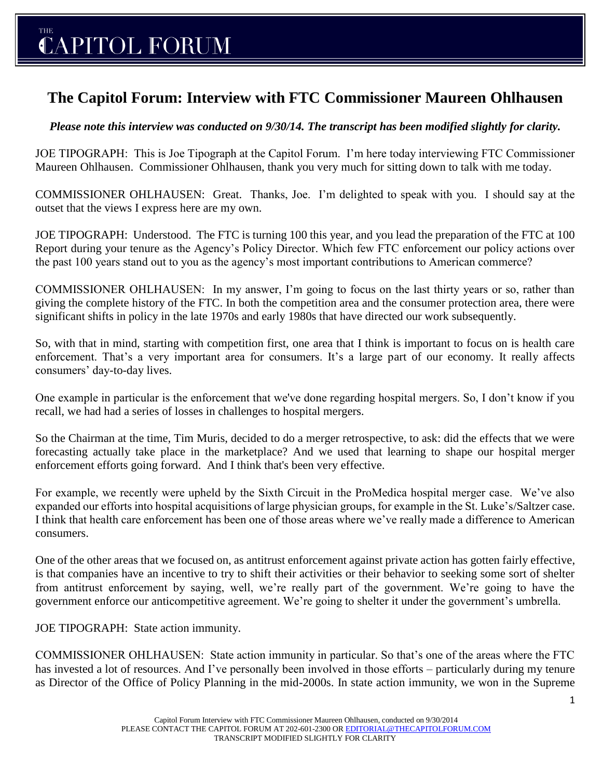## **The Capitol Forum: Interview with FTC Commissioner Maureen Ohlhausen**

*Please note this interview was conducted on 9/30/14. The transcript has been modified slightly for clarity.*

JOE TIPOGRAPH: This is Joe Tipograph at the Capitol Forum. I'm here today interviewing FTC Commissioner Maureen Ohlhausen. Commissioner Ohlhausen, thank you very much for sitting down to talk with me today.

COMMISSIONER OHLHAUSEN: Great. Thanks, Joe. I'm delighted to speak with you. I should say at the outset that the views I express here are my own.

JOE TIPOGRAPH: Understood. The FTC is turning 100 this year, and you lead the preparation of the FTC at 100 Report during your tenure as the Agency's Policy Director. Which few FTC enforcement our policy actions over the past 100 years stand out to you as the agency's most important contributions to American commerce?

COMMISSIONER OHLHAUSEN: In my answer, I'm going to focus on the last thirty years or so, rather than giving the complete history of the FTC. In both the competition area and the consumer protection area, there were significant shifts in policy in the late 1970s and early 1980s that have directed our work subsequently.

So, with that in mind, starting with competition first, one area that I think is important to focus on is health care enforcement. That's a very important area for consumers. It's a large part of our economy. It really affects consumers' day-to-day lives.

One example in particular is the enforcement that we've done regarding hospital mergers. So, I don't know if you recall, we had had a series of losses in challenges to hospital mergers.

So the Chairman at the time, Tim Muris, decided to do a merger retrospective, to ask: did the effects that we were forecasting actually take place in the marketplace? And we used that learning to shape our hospital merger enforcement efforts going forward. And I think that's been very effective.

For example, we recently were upheld by the Sixth Circuit in the ProMedica hospital merger case. We've also expanded our efforts into hospital acquisitions of large physician groups, for example in the St. Luke's/Saltzer case. I think that health care enforcement has been one of those areas where we've really made a difference to American consumers.

One of the other areas that we focused on, as antitrust enforcement against private action has gotten fairly effective, is that companies have an incentive to try to shift their activities or their behavior to seeking some sort of shelter from antitrust enforcement by saying, well, we're really part of the government. We're going to have the government enforce our anticompetitive agreement. We're going to shelter it under the government's umbrella.

JOE TIPOGRAPH: State action immunity.

COMMISSIONER OHLHAUSEN: State action immunity in particular. So that's one of the areas where the FTC has invested a lot of resources. And I've personally been involved in those efforts – particularly during my tenure as Director of the Office of Policy Planning in the mid-2000s. In state action immunity, we won in the Supreme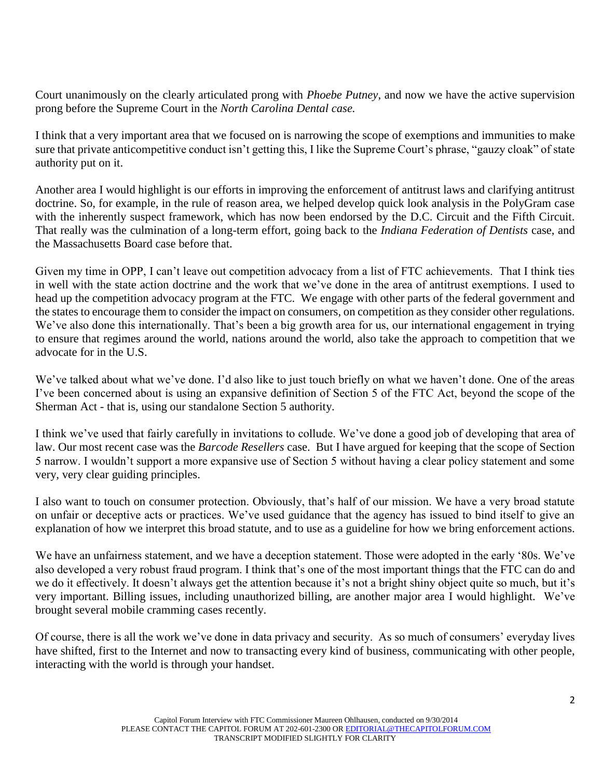Court unanimously on the clearly articulated prong with *Phoebe Putney*, and now we have the active supervision prong before the Supreme Court in the *North Carolina Dental case.*

I think that a very important area that we focused on is narrowing the scope of exemptions and immunities to make sure that private anticompetitive conduct isn't getting this, I like the Supreme Court's phrase, "gauzy cloak" of state authority put on it.

Another area I would highlight is our efforts in improving the enforcement of antitrust laws and clarifying antitrust doctrine. So, for example, in the rule of reason area, we helped develop quick look analysis in the PolyGram case with the inherently suspect framework, which has now been endorsed by the D.C. Circuit and the Fifth Circuit. That really was the culmination of a long-term effort, going back to the *Indiana Federation of Dentists* case, and the Massachusetts Board case before that.

Given my time in OPP, I can't leave out competition advocacy from a list of FTC achievements. That I think ties in well with the state action doctrine and the work that we've done in the area of antitrust exemptions. I used to head up the competition advocacy program at the FTC. We engage with other parts of the federal government and the states to encourage them to consider the impact on consumers, on competition as they consider other regulations. We've also done this internationally. That's been a big growth area for us, our international engagement in trying to ensure that regimes around the world, nations around the world, also take the approach to competition that we advocate for in the U.S.

We've talked about what we've done. I'd also like to just touch briefly on what we haven't done. One of the areas I've been concerned about is using an expansive definition of Section 5 of the FTC Act, beyond the scope of the Sherman Act - that is, using our standalone Section 5 authority.

I think we've used that fairly carefully in invitations to collude. We've done a good job of developing that area of law. Our most recent case was the *Barcode Resellers* case. But I have argued for keeping that the scope of Section 5 narrow. I wouldn't support a more expansive use of Section 5 without having a clear policy statement and some very, very clear guiding principles.

I also want to touch on consumer protection. Obviously, that's half of our mission. We have a very broad statute on unfair or deceptive acts or practices. We've used guidance that the agency has issued to bind itself to give an explanation of how we interpret this broad statute, and to use as a guideline for how we bring enforcement actions.

We have an unfairness statement, and we have a deception statement. Those were adopted in the early '80s. We've also developed a very robust fraud program. I think that's one of the most important things that the FTC can do and we do it effectively. It doesn't always get the attention because it's not a bright shiny object quite so much, but it's very important. Billing issues, including unauthorized billing, are another major area I would highlight. We've brought several mobile cramming cases recently.

Of course, there is all the work we've done in data privacy and security. As so much of consumers' everyday lives have shifted, first to the Internet and now to transacting every kind of business, communicating with other people, interacting with the world is through your handset.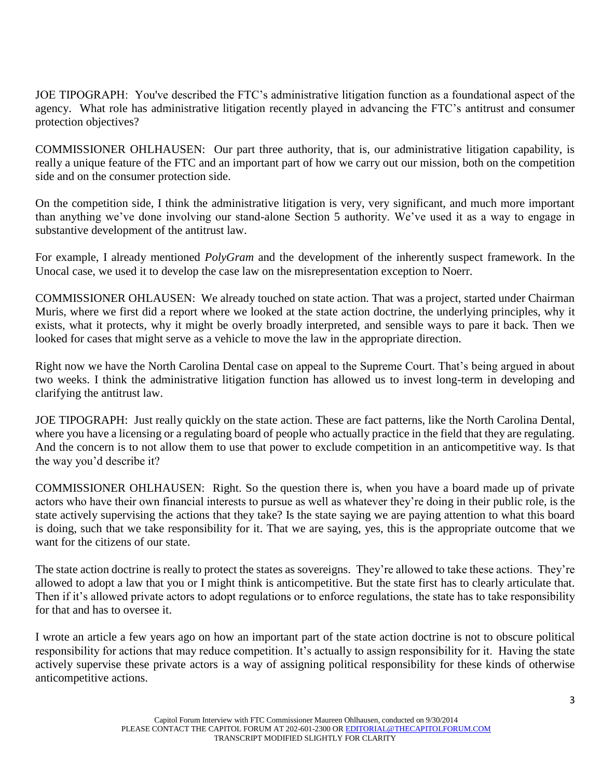JOE TIPOGRAPH: You've described the FTC's administrative litigation function as a foundational aspect of the agency. What role has administrative litigation recently played in advancing the FTC's antitrust and consumer protection objectives?

COMMISSIONER OHLHAUSEN: Our part three authority, that is, our administrative litigation capability, is really a unique feature of the FTC and an important part of how we carry out our mission, both on the competition side and on the consumer protection side.

On the competition side, I think the administrative litigation is very, very significant, and much more important than anything we've done involving our stand-alone Section 5 authority. We've used it as a way to engage in substantive development of the antitrust law.

For example, I already mentioned *PolyGram* and the development of the inherently suspect framework. In the Unocal case, we used it to develop the case law on the misrepresentation exception to Noerr.

COMMISSIONER OHLAUSEN: We already touched on state action. That was a project, started under Chairman Muris, where we first did a report where we looked at the state action doctrine, the underlying principles, why it exists, what it protects, why it might be overly broadly interpreted, and sensible ways to pare it back. Then we looked for cases that might serve as a vehicle to move the law in the appropriate direction.

Right now we have the North Carolina Dental case on appeal to the Supreme Court. That's being argued in about two weeks. I think the administrative litigation function has allowed us to invest long-term in developing and clarifying the antitrust law.

JOE TIPOGRAPH: Just really quickly on the state action. These are fact patterns, like the North Carolina Dental, where you have a licensing or a regulating board of people who actually practice in the field that they are regulating. And the concern is to not allow them to use that power to exclude competition in an anticompetitive way. Is that the way you'd describe it?

COMMISSIONER OHLHAUSEN: Right. So the question there is, when you have a board made up of private actors who have their own financial interests to pursue as well as whatever they're doing in their public role, is the state actively supervising the actions that they take? Is the state saying we are paying attention to what this board is doing, such that we take responsibility for it. That we are saying, yes, this is the appropriate outcome that we want for the citizens of our state.

The state action doctrine is really to protect the states as sovereigns. They're allowed to take these actions. They're allowed to adopt a law that you or I might think is anticompetitive. But the state first has to clearly articulate that. Then if it's allowed private actors to adopt regulations or to enforce regulations, the state has to take responsibility for that and has to oversee it.

I wrote an article a few years ago on how an important part of the state action doctrine is not to obscure political responsibility for actions that may reduce competition. It's actually to assign responsibility for it. Having the state actively supervise these private actors is a way of assigning political responsibility for these kinds of otherwise anticompetitive actions.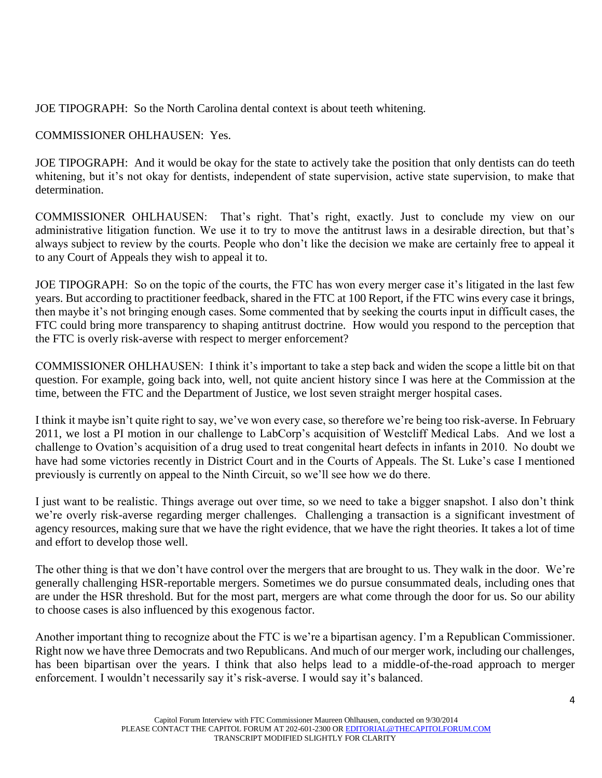JOE TIPOGRAPH: So the North Carolina dental context is about teeth whitening.

## COMMISSIONER OHLHAUSEN: Yes.

JOE TIPOGRAPH: And it would be okay for the state to actively take the position that only dentists can do teeth whitening, but it's not okay for dentists, independent of state supervision, active state supervision, to make that determination.

COMMISSIONER OHLHAUSEN: That's right. That's right, exactly. Just to conclude my view on our administrative litigation function. We use it to try to move the antitrust laws in a desirable direction, but that's always subject to review by the courts. People who don't like the decision we make are certainly free to appeal it to any Court of Appeals they wish to appeal it to.

JOE TIPOGRAPH: So on the topic of the courts, the FTC has won every merger case it's litigated in the last few years. But according to practitioner feedback, shared in the FTC at 100 Report, if the FTC wins every case it brings, then maybe it's not bringing enough cases. Some commented that by seeking the courts input in difficult cases, the FTC could bring more transparency to shaping antitrust doctrine. How would you respond to the perception that the FTC is overly risk-averse with respect to merger enforcement?

COMMISSIONER OHLHAUSEN: I think it's important to take a step back and widen the scope a little bit on that question. For example, going back into, well, not quite ancient history since I was here at the Commission at the time, between the FTC and the Department of Justice, we lost seven straight merger hospital cases.

I think it maybe isn't quite right to say, we've won every case, so therefore we're being too risk-averse. In February 2011, we lost a PI motion in our challenge to LabCorp's acquisition of Westcliff Medical Labs. And we lost a challenge to Ovation's acquisition of a drug used to treat congenital heart defects in infants in 2010. No doubt we have had some victories recently in District Court and in the Courts of Appeals. The St. Luke's case I mentioned previously is currently on appeal to the Ninth Circuit, so we'll see how we do there.

I just want to be realistic. Things average out over time, so we need to take a bigger snapshot. I also don't think we're overly risk-averse regarding merger challenges. Challenging a transaction is a significant investment of agency resources, making sure that we have the right evidence, that we have the right theories. It takes a lot of time and effort to develop those well.

The other thing is that we don't have control over the mergers that are brought to us. They walk in the door. We're generally challenging HSR-reportable mergers. Sometimes we do pursue consummated deals, including ones that are under the HSR threshold. But for the most part, mergers are what come through the door for us. So our ability to choose cases is also influenced by this exogenous factor.

Another important thing to recognize about the FTC is we're a bipartisan agency. I'm a Republican Commissioner. Right now we have three Democrats and two Republicans. And much of our merger work, including our challenges, has been bipartisan over the years. I think that also helps lead to a middle-of-the-road approach to merger enforcement. I wouldn't necessarily say it's risk-averse. I would say it's balanced.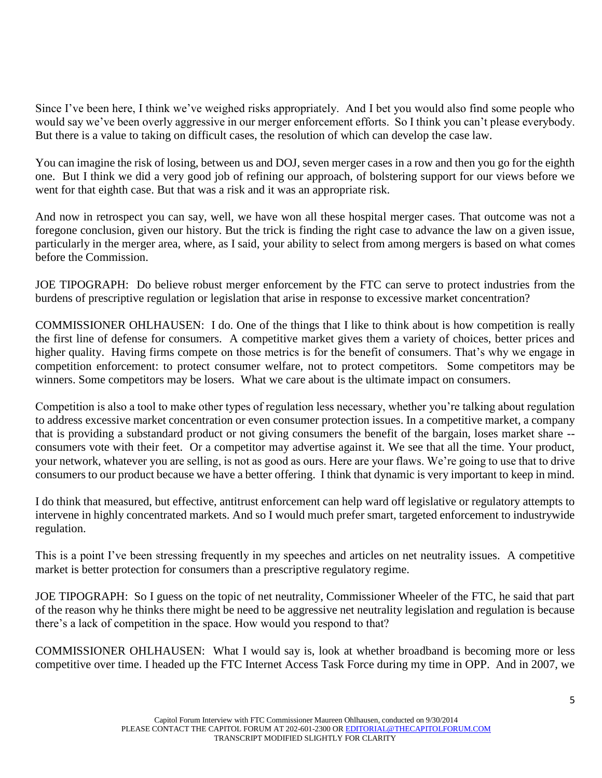Since I've been here, I think we've weighed risks appropriately. And I bet you would also find some people who would say we've been overly aggressive in our merger enforcement efforts. So I think you can't please everybody. But there is a value to taking on difficult cases, the resolution of which can develop the case law.

You can imagine the risk of losing, between us and DOJ, seven merger cases in a row and then you go for the eighth one. But I think we did a very good job of refining our approach, of bolstering support for our views before we went for that eighth case. But that was a risk and it was an appropriate risk.

And now in retrospect you can say, well, we have won all these hospital merger cases. That outcome was not a foregone conclusion, given our history. But the trick is finding the right case to advance the law on a given issue, particularly in the merger area, where, as I said, your ability to select from among mergers is based on what comes before the Commission.

JOE TIPOGRAPH: Do believe robust merger enforcement by the FTC can serve to protect industries from the burdens of prescriptive regulation or legislation that arise in response to excessive market concentration?

COMMISSIONER OHLHAUSEN: I do. One of the things that I like to think about is how competition is really the first line of defense for consumers. A competitive market gives them a variety of choices, better prices and higher quality. Having firms compete on those metrics is for the benefit of consumers. That's why we engage in competition enforcement: to protect consumer welfare, not to protect competitors. Some competitors may be winners. Some competitors may be losers. What we care about is the ultimate impact on consumers.

Competition is also a tool to make other types of regulation less necessary, whether you're talking about regulation to address excessive market concentration or even consumer protection issues. In a competitive market, a company that is providing a substandard product or not giving consumers the benefit of the bargain, loses market share - consumers vote with their feet. Or a competitor may advertise against it. We see that all the time. Your product, your network, whatever you are selling, is not as good as ours. Here are your flaws. We're going to use that to drive consumers to our product because we have a better offering. I think that dynamic is very important to keep in mind.

I do think that measured, but effective, antitrust enforcement can help ward off legislative or regulatory attempts to intervene in highly concentrated markets. And so I would much prefer smart, targeted enforcement to industrywide regulation.

This is a point I've been stressing frequently in my speeches and articles on net neutrality issues. A competitive market is better protection for consumers than a prescriptive regulatory regime.

JOE TIPOGRAPH: So I guess on the topic of net neutrality, Commissioner Wheeler of the FTC, he said that part of the reason why he thinks there might be need to be aggressive net neutrality legislation and regulation is because there's a lack of competition in the space. How would you respond to that?

COMMISSIONER OHLHAUSEN: What I would say is, look at whether broadband is becoming more or less competitive over time. I headed up the FTC Internet Access Task Force during my time in OPP. And in 2007, we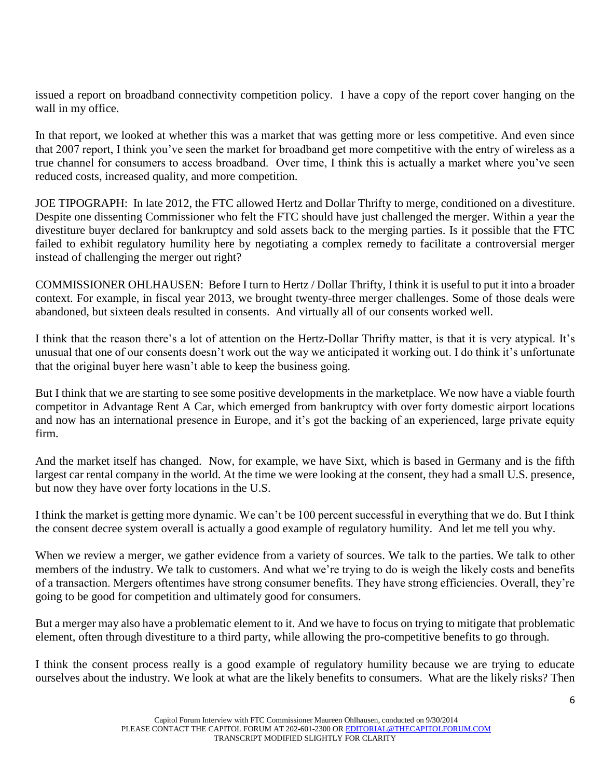issued a report on broadband connectivity competition policy. I have a copy of the report cover hanging on the wall in my office.

In that report, we looked at whether this was a market that was getting more or less competitive. And even since that 2007 report, I think you've seen the market for broadband get more competitive with the entry of wireless as a true channel for consumers to access broadband. Over time, I think this is actually a market where you've seen reduced costs, increased quality, and more competition.

JOE TIPOGRAPH: In late 2012, the FTC allowed Hertz and Dollar Thrifty to merge, conditioned on a divestiture. Despite one dissenting Commissioner who felt the FTC should have just challenged the merger. Within a year the divestiture buyer declared for bankruptcy and sold assets back to the merging parties. Is it possible that the FTC failed to exhibit regulatory humility here by negotiating a complex remedy to facilitate a controversial merger instead of challenging the merger out right?

COMMISSIONER OHLHAUSEN: Before I turn to Hertz / Dollar Thrifty, I think it is useful to put it into a broader context. For example, in fiscal year 2013, we brought twenty-three merger challenges. Some of those deals were abandoned, but sixteen deals resulted in consents. And virtually all of our consents worked well.

I think that the reason there's a lot of attention on the Hertz-Dollar Thrifty matter, is that it is very atypical. It's unusual that one of our consents doesn't work out the way we anticipated it working out. I do think it's unfortunate that the original buyer here wasn't able to keep the business going.

But I think that we are starting to see some positive developments in the marketplace. We now have a viable fourth competitor in Advantage Rent A Car, which emerged from bankruptcy with over forty domestic airport locations and now has an international presence in Europe, and it's got the backing of an experienced, large private equity firm.

And the market itself has changed. Now, for example, we have Sixt, which is based in Germany and is the fifth largest car rental company in the world. At the time we were looking at the consent, they had a small U.S. presence, but now they have over forty locations in the U.S.

I think the market is getting more dynamic. We can't be 100 percent successful in everything that we do. But I think the consent decree system overall is actually a good example of regulatory humility. And let me tell you why.

When we review a merger, we gather evidence from a variety of sources. We talk to the parties. We talk to other members of the industry. We talk to customers. And what we're trying to do is weigh the likely costs and benefits of a transaction. Mergers oftentimes have strong consumer benefits. They have strong efficiencies. Overall, they're going to be good for competition and ultimately good for consumers.

But a merger may also have a problematic element to it. And we have to focus on trying to mitigate that problematic element, often through divestiture to a third party, while allowing the pro-competitive benefits to go through.

I think the consent process really is a good example of regulatory humility because we are trying to educate ourselves about the industry. We look at what are the likely benefits to consumers. What are the likely risks? Then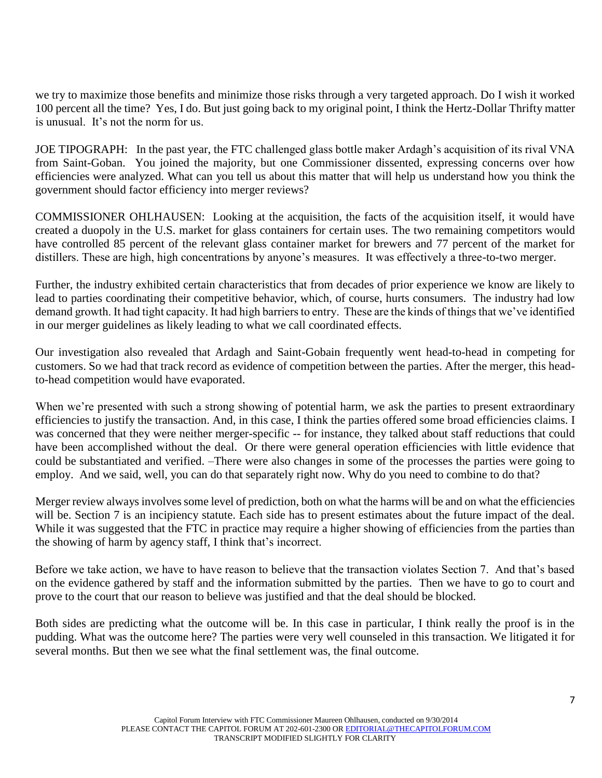we try to maximize those benefits and minimize those risks through a very targeted approach. Do I wish it worked 100 percent all the time? Yes, I do. But just going back to my original point, I think the Hertz-Dollar Thrifty matter is unusual. It's not the norm for us.

JOE TIPOGRAPH: In the past year, the FTC challenged glass bottle maker Ardagh's acquisition of its rival VNA from Saint-Goban. You joined the majority, but one Commissioner dissented, expressing concerns over how efficiencies were analyzed. What can you tell us about this matter that will help us understand how you think the government should factor efficiency into merger reviews?

COMMISSIONER OHLHAUSEN: Looking at the acquisition, the facts of the acquisition itself, it would have created a duopoly in the U.S. market for glass containers for certain uses. The two remaining competitors would have controlled 85 percent of the relevant glass container market for brewers and 77 percent of the market for distillers. These are high, high concentrations by anyone's measures. It was effectively a three-to-two merger.

Further, the industry exhibited certain characteristics that from decades of prior experience we know are likely to lead to parties coordinating their competitive behavior, which, of course, hurts consumers. The industry had low demand growth. It had tight capacity. It had high barriers to entry. These are the kinds of things that we've identified in our merger guidelines as likely leading to what we call coordinated effects.

Our investigation also revealed that Ardagh and Saint-Gobain frequently went head-to-head in competing for customers. So we had that track record as evidence of competition between the parties. After the merger, this headto-head competition would have evaporated.

When we're presented with such a strong showing of potential harm, we ask the parties to present extraordinary efficiencies to justify the transaction. And, in this case, I think the parties offered some broad efficiencies claims. I was concerned that they were neither merger-specific -- for instance, they talked about staff reductions that could have been accomplished without the deal. Or there were general operation efficiencies with little evidence that could be substantiated and verified. –There were also changes in some of the processes the parties were going to employ. And we said, well, you can do that separately right now. Why do you need to combine to do that?

Merger review always involves some level of prediction, both on what the harms will be and on what the efficiencies will be. Section 7 is an incipiency statute. Each side has to present estimates about the future impact of the deal. While it was suggested that the FTC in practice may require a higher showing of efficiencies from the parties than the showing of harm by agency staff, I think that's incorrect.

Before we take action, we have to have reason to believe that the transaction violates Section 7. And that's based on the evidence gathered by staff and the information submitted by the parties. Then we have to go to court and prove to the court that our reason to believe was justified and that the deal should be blocked.

Both sides are predicting what the outcome will be. In this case in particular, I think really the proof is in the pudding. What was the outcome here? The parties were very well counseled in this transaction. We litigated it for several months. But then we see what the final settlement was, the final outcome.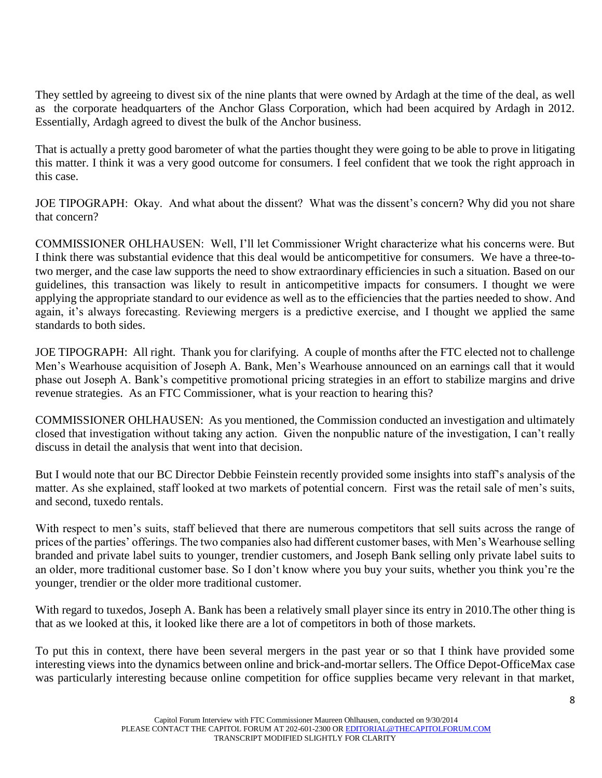They settled by agreeing to divest six of the nine plants that were owned by Ardagh at the time of the deal, as well as the corporate headquarters of the Anchor Glass Corporation, which had been acquired by Ardagh in 2012. Essentially, Ardagh agreed to divest the bulk of the Anchor business.

That is actually a pretty good barometer of what the parties thought they were going to be able to prove in litigating this matter. I think it was a very good outcome for consumers. I feel confident that we took the right approach in this case.

JOE TIPOGRAPH: Okay. And what about the dissent? What was the dissent's concern? Why did you not share that concern?

COMMISSIONER OHLHAUSEN: Well, I'll let Commissioner Wright characterize what his concerns were. But I think there was substantial evidence that this deal would be anticompetitive for consumers. We have a three-totwo merger, and the case law supports the need to show extraordinary efficiencies in such a situation. Based on our guidelines, this transaction was likely to result in anticompetitive impacts for consumers. I thought we were applying the appropriate standard to our evidence as well as to the efficiencies that the parties needed to show. And again, it's always forecasting. Reviewing mergers is a predictive exercise, and I thought we applied the same standards to both sides.

JOE TIPOGRAPH: All right. Thank you for clarifying. A couple of months after the FTC elected not to challenge Men's Wearhouse acquisition of Joseph A. Bank, Men's Wearhouse announced on an earnings call that it would phase out Joseph A. Bank's competitive promotional pricing strategies in an effort to stabilize margins and drive revenue strategies. As an FTC Commissioner, what is your reaction to hearing this?

COMMISSIONER OHLHAUSEN: As you mentioned, the Commission conducted an investigation and ultimately closed that investigation without taking any action. Given the nonpublic nature of the investigation, I can't really discuss in detail the analysis that went into that decision.

But I would note that our BC Director Debbie Feinstein recently provided some insights into staff's analysis of the matter. As she explained, staff looked at two markets of potential concern. First was the retail sale of men's suits, and second, tuxedo rentals.

With respect to men's suits, staff believed that there are numerous competitors that sell suits across the range of prices of the parties' offerings. The two companies also had different customer bases, with Men's Wearhouse selling branded and private label suits to younger, trendier customers, and Joseph Bank selling only private label suits to an older, more traditional customer base. So I don't know where you buy your suits, whether you think you're the younger, trendier or the older more traditional customer.

With regard to tuxedos, Joseph A. Bank has been a relatively small player since its entry in 2010.The other thing is that as we looked at this, it looked like there are a lot of competitors in both of those markets.

To put this in context, there have been several mergers in the past year or so that I think have provided some interesting views into the dynamics between online and brick-and-mortar sellers. The Office Depot-OfficeMax case was particularly interesting because online competition for office supplies became very relevant in that market,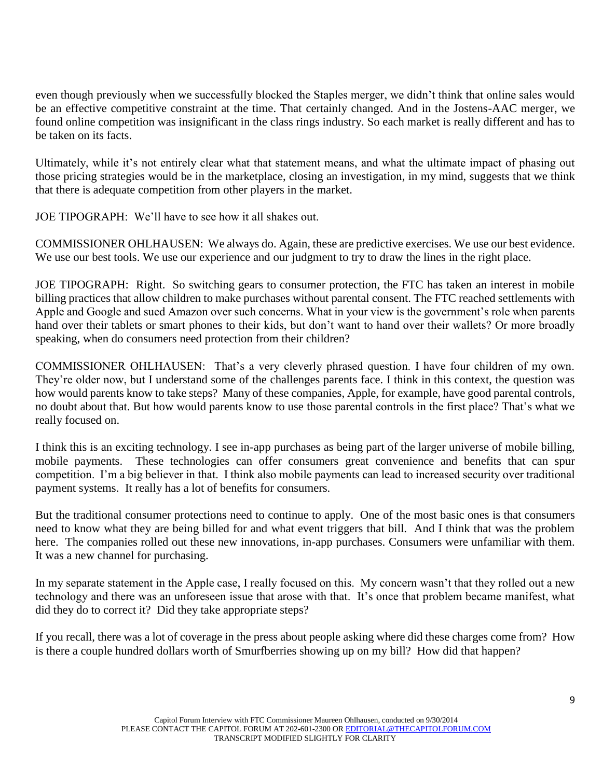even though previously when we successfully blocked the Staples merger, we didn't think that online sales would be an effective competitive constraint at the time. That certainly changed. And in the Jostens-AAC merger, we found online competition was insignificant in the class rings industry. So each market is really different and has to be taken on its facts.

Ultimately, while it's not entirely clear what that statement means, and what the ultimate impact of phasing out those pricing strategies would be in the marketplace, closing an investigation, in my mind, suggests that we think that there is adequate competition from other players in the market.

JOE TIPOGRAPH: We'll have to see how it all shakes out.

COMMISSIONER OHLHAUSEN: We always do. Again, these are predictive exercises. We use our best evidence. We use our best tools. We use our experience and our judgment to try to draw the lines in the right place.

JOE TIPOGRAPH: Right. So switching gears to consumer protection, the FTC has taken an interest in mobile billing practices that allow children to make purchases without parental consent. The FTC reached settlements with Apple and Google and sued Amazon over such concerns. What in your view is the government's role when parents hand over their tablets or smart phones to their kids, but don't want to hand over their wallets? Or more broadly speaking, when do consumers need protection from their children?

COMMISSIONER OHLHAUSEN: That's a very cleverly phrased question. I have four children of my own. They're older now, but I understand some of the challenges parents face. I think in this context, the question was how would parents know to take steps? Many of these companies, Apple, for example, have good parental controls, no doubt about that. But how would parents know to use those parental controls in the first place? That's what we really focused on.

I think this is an exciting technology. I see in-app purchases as being part of the larger universe of mobile billing, mobile payments. These technologies can offer consumers great convenience and benefits that can spur competition. I'm a big believer in that. I think also mobile payments can lead to increased security over traditional payment systems. It really has a lot of benefits for consumers.

But the traditional consumer protections need to continue to apply. One of the most basic ones is that consumers need to know what they are being billed for and what event triggers that bill. And I think that was the problem here. The companies rolled out these new innovations, in-app purchases. Consumers were unfamiliar with them. It was a new channel for purchasing.

In my separate statement in the Apple case, I really focused on this. My concern wasn't that they rolled out a new technology and there was an unforeseen issue that arose with that. It's once that problem became manifest, what did they do to correct it? Did they take appropriate steps?

If you recall, there was a lot of coverage in the press about people asking where did these charges come from? How is there a couple hundred dollars worth of Smurfberries showing up on my bill? How did that happen?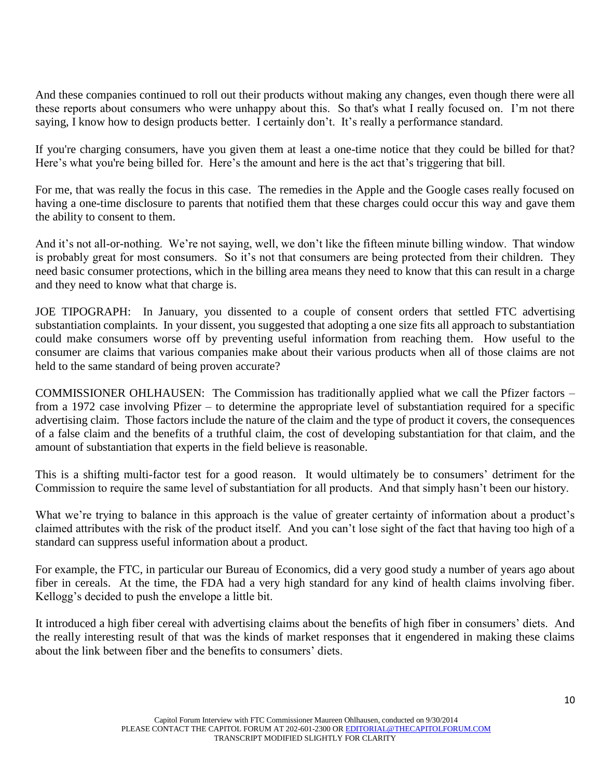And these companies continued to roll out their products without making any changes, even though there were all these reports about consumers who were unhappy about this. So that's what I really focused on. I'm not there saying, I know how to design products better. I certainly don't. It's really a performance standard.

If you're charging consumers, have you given them at least a one-time notice that they could be billed for that? Here's what you're being billed for. Here's the amount and here is the act that's triggering that bill.

For me, that was really the focus in this case. The remedies in the Apple and the Google cases really focused on having a one-time disclosure to parents that notified them that these charges could occur this way and gave them the ability to consent to them.

And it's not all-or-nothing. We're not saying, well, we don't like the fifteen minute billing window. That window is probably great for most consumers. So it's not that consumers are being protected from their children. They need basic consumer protections, which in the billing area means they need to know that this can result in a charge and they need to know what that charge is.

JOE TIPOGRAPH: In January, you dissented to a couple of consent orders that settled FTC advertising substantiation complaints. In your dissent, you suggested that adopting a one size fits all approach to substantiation could make consumers worse off by preventing useful information from reaching them. How useful to the consumer are claims that various companies make about their various products when all of those claims are not held to the same standard of being proven accurate?

COMMISSIONER OHLHAUSEN: The Commission has traditionally applied what we call the Pfizer factors – from a 1972 case involving Pfizer – to determine the appropriate level of substantiation required for a specific advertising claim. Those factors include the nature of the claim and the type of product it covers, the consequences of a false claim and the benefits of a truthful claim, the cost of developing substantiation for that claim, and the amount of substantiation that experts in the field believe is reasonable.

This is a shifting multi-factor test for a good reason. It would ultimately be to consumers' detriment for the Commission to require the same level of substantiation for all products. And that simply hasn't been our history.

What we're trying to balance in this approach is the value of greater certainty of information about a product's claimed attributes with the risk of the product itself. And you can't lose sight of the fact that having too high of a standard can suppress useful information about a product.

For example, the FTC, in particular our Bureau of Economics, did a very good study a number of years ago about fiber in cereals. At the time, the FDA had a very high standard for any kind of health claims involving fiber. Kellogg's decided to push the envelope a little bit.

It introduced a high fiber cereal with advertising claims about the benefits of high fiber in consumers' diets. And the really interesting result of that was the kinds of market responses that it engendered in making these claims about the link between fiber and the benefits to consumers' diets.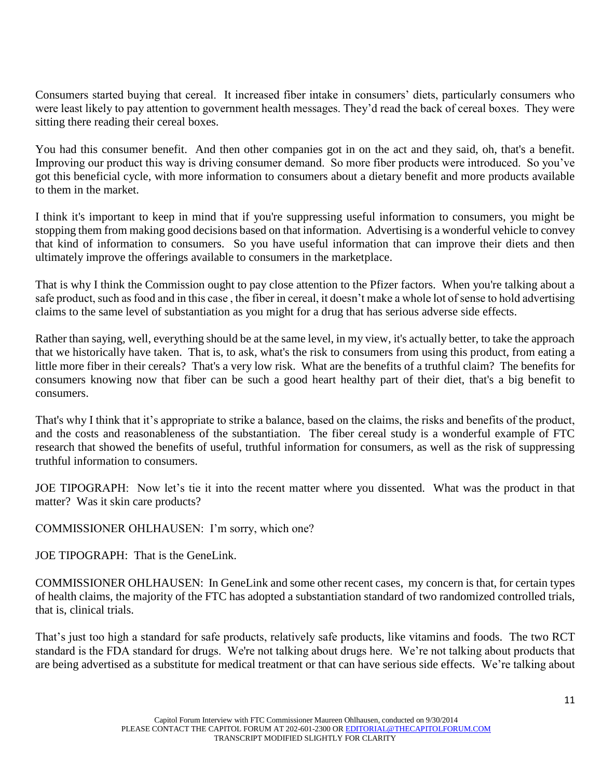Consumers started buying that cereal. It increased fiber intake in consumers' diets, particularly consumers who were least likely to pay attention to government health messages. They'd read the back of cereal boxes. They were sitting there reading their cereal boxes.

You had this consumer benefit. And then other companies got in on the act and they said, oh, that's a benefit. Improving our product this way is driving consumer demand. So more fiber products were introduced. So you've got this beneficial cycle, with more information to consumers about a dietary benefit and more products available to them in the market.

I think it's important to keep in mind that if you're suppressing useful information to consumers, you might be stopping them from making good decisions based on that information. Advertising is a wonderful vehicle to convey that kind of information to consumers. So you have useful information that can improve their diets and then ultimately improve the offerings available to consumers in the marketplace.

That is why I think the Commission ought to pay close attention to the Pfizer factors. When you're talking about a safe product, such as food and in this case , the fiber in cereal, it doesn't make a whole lot of sense to hold advertising claims to the same level of substantiation as you might for a drug that has serious adverse side effects.

Rather than saying, well, everything should be at the same level, in my view, it's actually better, to take the approach that we historically have taken. That is, to ask, what's the risk to consumers from using this product, from eating a little more fiber in their cereals? That's a very low risk. What are the benefits of a truthful claim? The benefits for consumers knowing now that fiber can be such a good heart healthy part of their diet, that's a big benefit to consumers.

That's why I think that it's appropriate to strike a balance, based on the claims, the risks and benefits of the product, and the costs and reasonableness of the substantiation. The fiber cereal study is a wonderful example of FTC research that showed the benefits of useful, truthful information for consumers, as well as the risk of suppressing truthful information to consumers.

JOE TIPOGRAPH: Now let's tie it into the recent matter where you dissented. What was the product in that matter? Was it skin care products?

COMMISSIONER OHLHAUSEN: I'm sorry, which one?

JOE TIPOGRAPH: That is the GeneLink.

COMMISSIONER OHLHAUSEN: In GeneLink and some other recent cases, my concern is that, for certain types of health claims, the majority of the FTC has adopted a substantiation standard of two randomized controlled trials, that is, clinical trials.

That's just too high a standard for safe products, relatively safe products, like vitamins and foods. The two RCT standard is the FDA standard for drugs. We're not talking about drugs here. We're not talking about products that are being advertised as a substitute for medical treatment or that can have serious side effects. We're talking about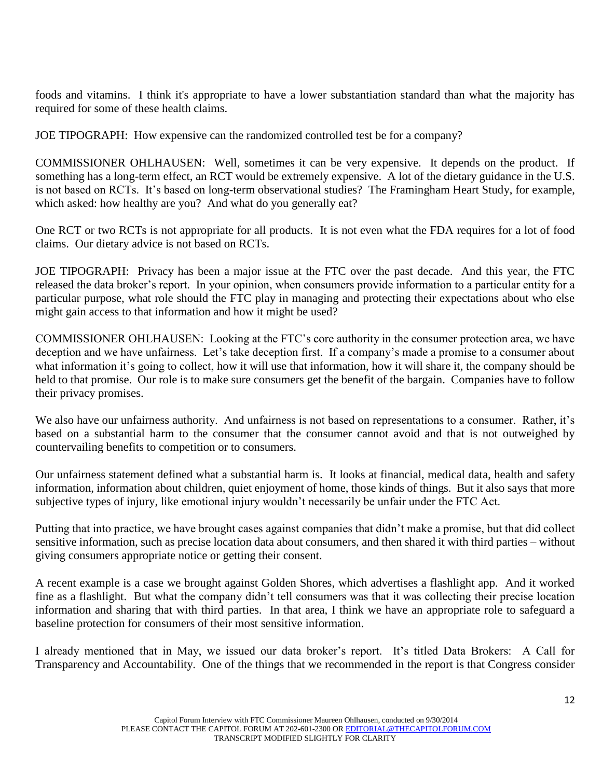foods and vitamins. I think it's appropriate to have a lower substantiation standard than what the majority has required for some of these health claims.

JOE TIPOGRAPH: How expensive can the randomized controlled test be for a company?

COMMISSIONER OHLHAUSEN: Well, sometimes it can be very expensive. It depends on the product. If something has a long-term effect, an RCT would be extremely expensive. A lot of the dietary guidance in the U.S. is not based on RCTs. It's based on long-term observational studies? The Framingham Heart Study, for example, which asked: how healthy are you? And what do you generally eat?

One RCT or two RCTs is not appropriate for all products. It is not even what the FDA requires for a lot of food claims. Our dietary advice is not based on RCTs.

JOE TIPOGRAPH: Privacy has been a major issue at the FTC over the past decade. And this year, the FTC released the data broker's report. In your opinion, when consumers provide information to a particular entity for a particular purpose, what role should the FTC play in managing and protecting their expectations about who else might gain access to that information and how it might be used?

COMMISSIONER OHLHAUSEN: Looking at the FTC's core authority in the consumer protection area, we have deception and we have unfairness. Let's take deception first. If a company's made a promise to a consumer about what information it's going to collect, how it will use that information, how it will share it, the company should be held to that promise. Our role is to make sure consumers get the benefit of the bargain. Companies have to follow their privacy promises.

We also have our unfairness authority. And unfairness is not based on representations to a consumer. Rather, it's based on a substantial harm to the consumer that the consumer cannot avoid and that is not outweighed by countervailing benefits to competition or to consumers.

Our unfairness statement defined what a substantial harm is. It looks at financial, medical data, health and safety information, information about children, quiet enjoyment of home, those kinds of things. But it also says that more subjective types of injury, like emotional injury wouldn't necessarily be unfair under the FTC Act.

Putting that into practice, we have brought cases against companies that didn't make a promise, but that did collect sensitive information, such as precise location data about consumers, and then shared it with third parties – without giving consumers appropriate notice or getting their consent.

A recent example is a case we brought against Golden Shores, which advertises a flashlight app. And it worked fine as a flashlight. But what the company didn't tell consumers was that it was collecting their precise location information and sharing that with third parties. In that area, I think we have an appropriate role to safeguard a baseline protection for consumers of their most sensitive information.

I already mentioned that in May, we issued our data broker's report. It's titled Data Brokers: A Call for Transparency and Accountability. One of the things that we recommended in the report is that Congress consider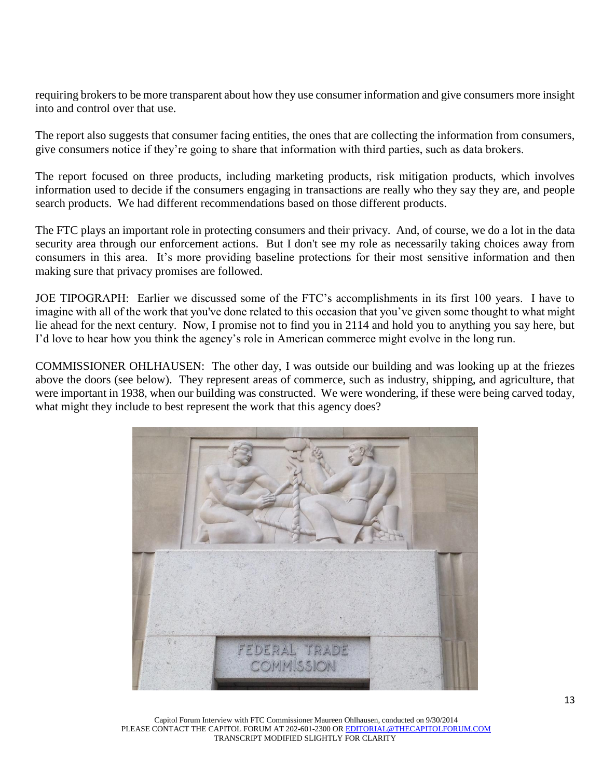requiring brokers to be more transparent about how they use consumer information and give consumers more insight into and control over that use.

The report also suggests that consumer facing entities, the ones that are collecting the information from consumers, give consumers notice if they're going to share that information with third parties, such as data brokers.

The report focused on three products, including marketing products, risk mitigation products, which involves information used to decide if the consumers engaging in transactions are really who they say they are, and people search products. We had different recommendations based on those different products.

The FTC plays an important role in protecting consumers and their privacy. And, of course, we do a lot in the data security area through our enforcement actions. But I don't see my role as necessarily taking choices away from consumers in this area. It's more providing baseline protections for their most sensitive information and then making sure that privacy promises are followed.

JOE TIPOGRAPH: Earlier we discussed some of the FTC's accomplishments in its first 100 years. I have to imagine with all of the work that you've done related to this occasion that you've given some thought to what might lie ahead for the next century. Now, I promise not to find you in 2114 and hold you to anything you say here, but I'd love to hear how you think the agency's role in American commerce might evolve in the long run.

COMMISSIONER OHLHAUSEN: The other day, I was outside our building and was looking up at the friezes above the doors (see below). They represent areas of commerce, such as industry, shipping, and agriculture, that were important in 1938, when our building was constructed. We were wondering, if these were being carved today, what might they include to best represent the work that this agency does?



Capitol Forum Interview with FTC Commissioner Maureen Ohlhausen, conducted on 9/30/2014 PLEASE CONTACT THE CAPITOL FORUM AT 202-601-2300 O[R EDITORIAL@THECAPITOLFORUM.COM](mailto:EDITORIAL@THECAPITOLFORUM.COM) TRANSCRIPT MODIFIED SLIGHTLY FOR CLARITY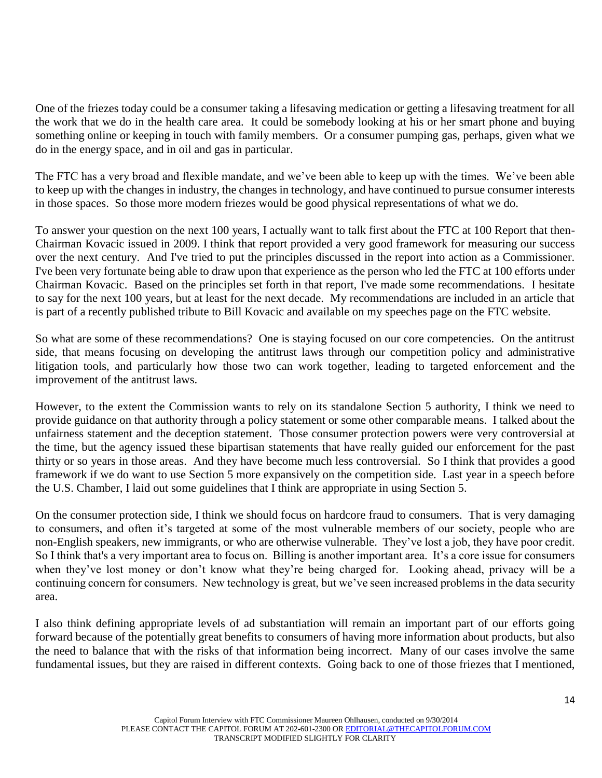One of the friezes today could be a consumer taking a lifesaving medication or getting a lifesaving treatment for all the work that we do in the health care area. It could be somebody looking at his or her smart phone and buying something online or keeping in touch with family members. Or a consumer pumping gas, perhaps, given what we do in the energy space, and in oil and gas in particular.

The FTC has a very broad and flexible mandate, and we've been able to keep up with the times. We've been able to keep up with the changes in industry, the changes in technology, and have continued to pursue consumer interests in those spaces. So those more modern friezes would be good physical representations of what we do.

To answer your question on the next 100 years, I actually want to talk first about the FTC at 100 Report that then-Chairman Kovacic issued in 2009. I think that report provided a very good framework for measuring our success over the next century. And I've tried to put the principles discussed in the report into action as a Commissioner. I've been very fortunate being able to draw upon that experience as the person who led the FTC at 100 efforts under Chairman Kovacic. Based on the principles set forth in that report, I've made some recommendations. I hesitate to say for the next 100 years, but at least for the next decade. My recommendations are included in an article that is part of a recently published tribute to Bill Kovacic and available on my speeches page on the FTC website.

So what are some of these recommendations? One is staying focused on our core competencies. On the antitrust side, that means focusing on developing the antitrust laws through our competition policy and administrative litigation tools, and particularly how those two can work together, leading to targeted enforcement and the improvement of the antitrust laws.

However, to the extent the Commission wants to rely on its standalone Section 5 authority, I think we need to provide guidance on that authority through a policy statement or some other comparable means. I talked about the unfairness statement and the deception statement. Those consumer protection powers were very controversial at the time, but the agency issued these bipartisan statements that have really guided our enforcement for the past thirty or so years in those areas. And they have become much less controversial. So I think that provides a good framework if we do want to use Section 5 more expansively on the competition side. Last year in a speech before the U.S. Chamber, I laid out some guidelines that I think are appropriate in using Section 5.

On the consumer protection side, I think we should focus on hardcore fraud to consumers. That is very damaging to consumers, and often it's targeted at some of the most vulnerable members of our society, people who are non-English speakers, new immigrants, or who are otherwise vulnerable. They've lost a job, they have poor credit. So I think that's a very important area to focus on. Billing is another important area. It's a core issue for consumers when they've lost money or don't know what they're being charged for. Looking ahead, privacy will be a continuing concern for consumers. New technology is great, but we've seen increased problems in the data security area.

I also think defining appropriate levels of ad substantiation will remain an important part of our efforts going forward because of the potentially great benefits to consumers of having more information about products, but also the need to balance that with the risks of that information being incorrect. Many of our cases involve the same fundamental issues, but they are raised in different contexts. Going back to one of those friezes that I mentioned,